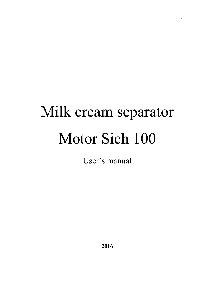# Milk cream separator Motor Sich 100

User's manual

**2016**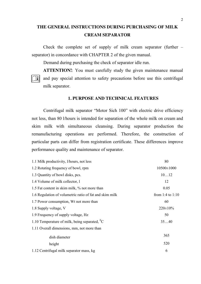# **THE GENERAL INSTRUCTIONS DURING PURCHASING OF MILK CREAM SEPARATOR**

Check the complete set of supply of milk cream separator (further – separator) in concordance with CHAPTER 2 of the given manual.

Demand during purchasing the check of separator idle run.

**ATTENTION!**: You must carefully study the given maintenance manual and pay special attention to safety precautions before use this centrifugal milk separator.

#### **1. PURPOSE AND TECHNICAL FEATURES**

Centrifugal milk separator "Motor Sich 100" with electric drive efficiency not less, than 80 l/hours is intended for separation of the whole milk on cream and skim milk with simultaneous cleansing. During separator production the remanufacturing operations are performed. Therefore, the construction of particular parts can differ from registration certificate. These differences improve performance quality and maintenance of separator.

| 1.1 Milk productivity, l/hours, not less                | 80                 |
|---------------------------------------------------------|--------------------|
| 1.2 Rotating frequency of bowl, rpm                     | 10500±1000         |
| 1.3 Quantity of bowl disks, pcs.                        | 1012               |
| 1.4 Volume of milk collector, 1                         | 12                 |
| 1.5 Fat content in skim milk, % not more than           | 0.05               |
| 1.6 Regulation of volumetric ratio of fat and skim milk | from 1:4 to $1:10$ |
| 1.7 Power consumption, Wt not more than                 | 60                 |
| 1.8 Supply voltage, V                                   | $220 \pm 10\%$     |
| 1.9 Frequency of supply voltage, Hz                     | 50                 |
| 1.10 Temperature of milk, being separated, $^0C$        | 3540               |
| 1.11 Overall dimensions, mm, not more than              |                    |
| dish diameter                                           | 365                |
| height                                                  | 520                |
| 1.12 Centrifugal milk separator mass, kg                | 6                  |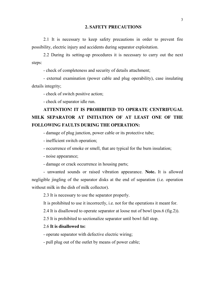#### **2. SAFETY PRECAUTIONS**

2.1 It is necessary to keep safety precautions in order to prevent fire possibility, electric injury and accidents during separator exploitation.

2.2 During its setting-up procedures it is necessary to carry out the next steps:

- check of completeness and security of details attachment;

- external examination (power cable and plug operability), case insulating details integrity;

- check of switch positive action;

- check of separator idle run.

# **ATTENTION! IT IS PROHIBITED TO OPERATE CENTRIFUGAL MILK SEPARATOR AT INITIATION OF AT LEAST ONE OF THE FOLLOWING FAULTS DURING THE OPERATION:**

- damage of plug junction, power cable or its protective tube;

- inefficient switch operation;

- occurrence of smoke or smell, that are typical for the burn insulation;

- noise appearance;

- damage or crack occurrence in housing parts;

- unwanted sounds or raised vibration appearance. **Note.** It is allowed negligible jingling of the separator disks at the end of separation (i.e. operation without milk in the dish of milk collector).

2.3 It is necessary to use the separator properly.

It is prohibited to use it incorrectly, i.e. not for the operations it meant for.

2.4 It is disallowed to operate separator at loose nut of bowl (pos.6 (fig.2)).

2.5 It is prohibited to sectionalize separator until bowl full stop.

## 2.6 **It is disallowed to:**

- operate separator with defective electric wiring;

- pull plug out of the outlet by means of power cable;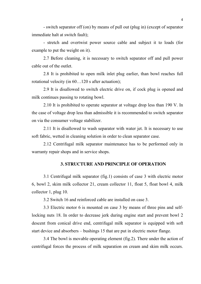- switch separator off (on) by means of pull out (plug in) (except of separator immediate halt at switch fault);

- stretch and overtwist power source cable and subject it to loads (for example to put the weight on it).

2.7 Before cleaning, it is necessary to switch separator off and pull power cable out of the outlet.

2.8 It is prohibited to open milk inlet plug earlier, than bowl reaches full rotational velocity (in 60…120 s after actuation);

2.9 It is disallowed to switch electric drive on, if cock plug is opened and milk continues passing to rotating bowl.

2.10 It is prohibited to operate separator at voltage drop less than 190 V. In the case of voltage drop less than admissible it is recommended to switch separator on via the consumer voltage stabilizer.

2.11 It is disallowed to wash separator with water jet. It is necessary to use soft fabric, wetted in cleaning solution in order to clean separator case.

2.12 Centrifugal milk separator maintenance has to be performed only in warranty repair shops and in service shops.

# **3. STRUCTURE AND PRINCIPLE OF OPERATION**

3.1 Centrifugal milk separator (fig.1) consists of case 3 with electric motor 6, bowl 2, skim milk collector 21, cream collector 11, float 5, float bowl 4, milk collector 1, plug 10.

3.2 Switch 16 and reinforced cable are installed on case 3.

3.3 Electric motor 6 is mounted on case 3 by means of three pins and selflocking nuts 18. In order to decrease jerk during engine start and prevent bowl 2 descent from conical drive end, centrifugal milk separator is equipped with soft start device and absorbers – bushings 15 that are put in electric motor flange.

3.4 The bowl is movable operating element (fig.2). There under the action of centrifugal forces the process of milk separation on cream and skim milk occurs.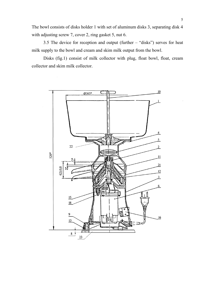The bowl consists of disks holder 1 with set of aluminum disks 3, separating disk 4 with adjusting screw 7, cover 2, ring gasket 5, nut 6.

3.5 The device for reception and output (further – "disks") serves for heat milk supply to the bowl and cream and skim milk output from the bowl.

Disks (fig.1) consist of milk collector with plug, float bowl, float, cream collector and skim milk collector.

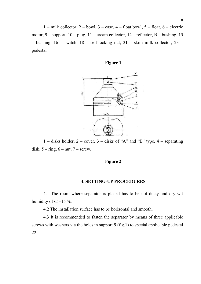$1 -$  milk collector,  $2 -$  bowl,  $3 -$  case,  $4 -$  float bowl,  $5 -$  float,  $6 -$  electric motor,  $9$  – support,  $10$  – plug,  $11$  – cream collector,  $12$  – reflector, B – bushing, 15 – bushing,  $16$  – switch,  $18$  – self-locking nut,  $21$  – skim milk collector,  $23$  – pedestal.





1 – disks holder,  $2$  – cover,  $3$  – disks of "A" and "B" type,  $4$  – separating disk,  $5 - ring$ ,  $6 - nut$ ,  $7 - screw$ .

#### **Figure 2**

#### **4. SETTING-UP PROCEDURES**

4.1 The room where separator is placed has to be not dusty and dry wit humidity of  $65+15\%$ .

4.2 The installation surface has to be horizontal and smooth.

4.3 It is recommended to fasten the separator by means of three applicable screws with washers via the holes in support 9 (fig.1) to special applicable pedestal 22.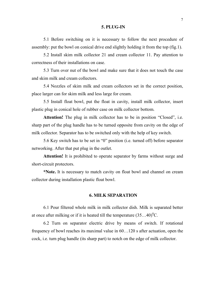#### **5. PLUG-IN**

5.1 Before switching on it is necessary to follow the next procedure of assembly: put the bowl on conical drive end slightly holding it from the top (fig.1).

5.2 Install skim milk collector 21 and cream collector 11. Pay attention to correctness of their installations on case.

5.3 Turn over nut of the bowl and make sure that it does not touch the case and skim milk and cream collectors.

5.4 Nozzles of skim milk and cream collectors set in the correct position, place larger can for skim milk and less large for cream.

5.5 Install float bowl, put the float in cavity, install milk collector, insert plastic plug in conical hole of rubber case on milk collector bottom.

Attention! The plug in milk collector has to be in position "Closed", i.e. sharp part of the plug handle has to be turned opposite from cavity on the edge of milk collector. Separator has to be switched only with the help of key switch.

5.6 Key switch has to be set in "0" position (i.e. turned off) before separator networking. After that put plug in the outlet.

**Attention!** It is prohibited to operate separator by farms without surge and short-circuit protectors.

**\*Note.** It is necessary to match cavity on float bowl and channel on cream collector during installation plastic float bowl.

#### **6. MILK SEPARATION**

6.1 Pour filtered whole milk in milk collector dish. Milk is separated better at once after milking or if it is heated till the temperature  $(35...40)^{0}$ C.

6.2 Turn on separator electric drive by means of switch. If rotational frequency of bowl reaches its maximal value in 60…120 s after actuation, open the cock, i.e. turn plug handle (its sharp part) to notch on the edge of milk collector.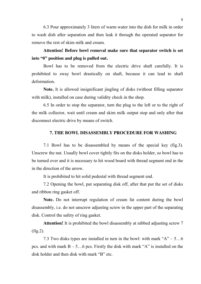6.3 Pour approximately 3 liters of warm water into the dish for milk in order to wash dish after separation and then leak it through the operated separator for remove the rest of skim milk and cream.

**Attention! Before bowl removal make sure that separator switch is set into "0" position and plug is pulled out.**

Bowl has to be removed from the electric drive shaft carefully. It is prohibited to sway bowl drastically on shaft, because it can lead to shaft deformation.

**Note.** It is allowed insignificant jingling of disks (without filling separator with milk), installed on case during validity check in the shop.

6.5 In order to stop the separator, turn the plug to the left or to the right of the milk collector, wait until cream and skim milk output stop and only after that disconnect electric drive by means of switch.

# **7. THE BOWL DISASSEMBLY PROCEDURE FOR WASHING**

7.1 Bowl has to be disassembled by means of the special key (fig.3). Unscrew the nut. Usually bowl cover tightly fits on the disks holder, so bowl has to be turned over and it is necessary to hit wood board with thread segment end in the in the direction of the arrow.

It is prohibited to hit solid pedestal with thread segment end.

7.2 Opening the bowl, put separating disk off, after that put the set of disks and ribbon ring gasket off.

**Note.** Do not interrupt regulation of cream fat content during the bowl disassembly, i.e. do not unscrew adjusting screw in the upper part of the separating disk. Control the safety of ring gasket.

**Attention!** It is prohibited the bowl disassembly at nibbed adjusting screw 7 (fig.2).

7.3 Two disks types are installed in turn in the bowl: with mark " $A$ " – 5...6 pcs. and with mark  $B - 5$ . 6 pcs. Firstly the disk with mark "A" is installed on the disk holder and then disk with mark "B" etc.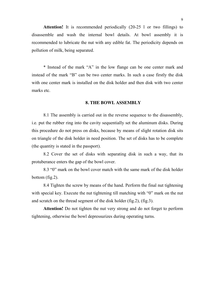**Attention!** It is recommended periodically (20-25 l or two fillings) to disassemble and wash the internal bowl details. At bowl assembly it is recommended to lubricate the nut with any edible fat. The periodicity depends on pollution of milk, being separated.

\* Instead of the mark "A" in the low flange can be one center mark and instead of the mark "B" can be two center marks. In such a case firstly the disk with one center mark is installed on the disk holder and then disk with two center marks etc.

# **8. THE BOWL ASSEMBLY**

8.1 The assembly is carried out in the reverse sequence to the disassembly, i.e. put the rubber ring into the cavity sequentially set the aluminum disks. During this procedure do not press on disks, because by means of slight rotation disk sits on triangle of the disk holder in need position. The set of disks has to be complete (the quantity is stated in the passport).

8.2 Cover the set of disks with separating disk in such a way, that its protuberance enters the gap of the bowl cover.

8.3 "0" mark on the bowl cover match with the same mark of the disk holder bottom (fig.2).

8.4 Tighten the screw by means of the hand. Perform the final nut tightening with special key. Execute the nut tightening till matching with "0" mark on the nut and scratch on the thread segment of the disk holder (fig.2), (fig.3).

**Attention!** Do not tighten the nut very strong and do not forget to perform tightening, otherwise the bowl depressurizes during operating turns.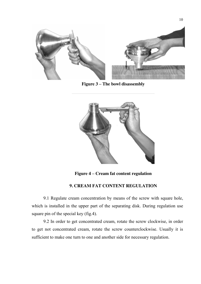

**Figure 3 – The bowl disassembly**



**Figure 4 – Cream fat content regulation**

# **9. CREAM FAT CONTENT REGULATION**

9.1 Regulate cream concentration by means of the screw with square hole, which is installed in the upper part of the separating disk. During regulation use square pin of the special key (fig.4).

9.2 In order to get concentrated cream, rotate the screw clockwise, in order to get not concentrated cream, rotate the screw counterclockwise. Usually it is sufficient to make one turn to one and another side for necessary regulation.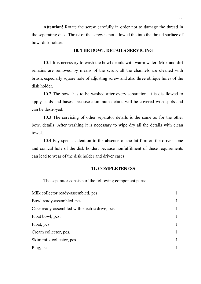**Attention!** Rotate the screw carefully in order not to damage the thread in the separating disk. Thrust of the screw is not allowed the into the thread surface of bowl disk holder.

## **10. THE BOWL DETAILS SERVICING**

10.1 It is necessary to wash the bowl details with warm water. Milk and dirt remains are removed by means of the scrub, all the channels are cleaned with brush, especially square hole of adjusting screw and also three oblique holes of the disk holder.

10.2 The bowl has to be washed after every separation. It is disallowed to apply acids and bases, because aluminum details will be covered with spots and can be destroyed.

10.3 The servicing of other separator details is the same as for the other bowl details. After washing it is necessary to wipe dry all the details with clean towel.

10.4 Pay special attention to the absence of the fat film on the driver cone and conical hole of the disk holder, because nonfulfilment of these requirements can lead to wear of the disk holder and driver cases.

# **11. COMPLETENESS**

The separator consists of the following component parts:

| Milk collector ready-assembled, pcs.           |              |
|------------------------------------------------|--------------|
| Bowl ready-assembled, pcs.                     | 1            |
| Case ready-assembled with electric drive, pcs. | 1            |
| Float bowl, pcs.                               | $\mathbf{1}$ |
| Float, pcs.                                    | 1            |
| Cream collector, pcs.                          | 1            |
| Skim milk collector, pcs.                      | 1            |
| Plug, pcs.                                     |              |
|                                                |              |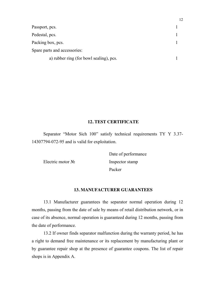| Passport, pcs.                          |  |
|-----------------------------------------|--|
| Pedestal, pcs.                          |  |
| Packing box, pcs.                       |  |
| Spare parts and accessories:            |  |
| a) rubber ring (for bowl sealing), pcs. |  |

12

# **12. TEST CERTIFICATE**

Separator "Motor Sich 100" satisfy technical requirements TY Y 3.37- 14307794-072-95 and is valid for exploitation.

Date of performance Electric motor № Inspector stamp Packer

# **13. MANUFACTURER GUARANTEES**

13.1 Manufacturer guarantees the separator normal operation during 12 months, passing from the date of sale by means of retail distribution network, or in case of its absence, normal operation is guaranteed during 12 months, passing from the date of performance.

13.2 If owner finds separator malfunction during the warranty period, he has a right to demand free maintenance or its replacement by manufacturing plant or by guarantee repair shop at the presence of guarantee coupons. The list of repair shops is in Appendix A.